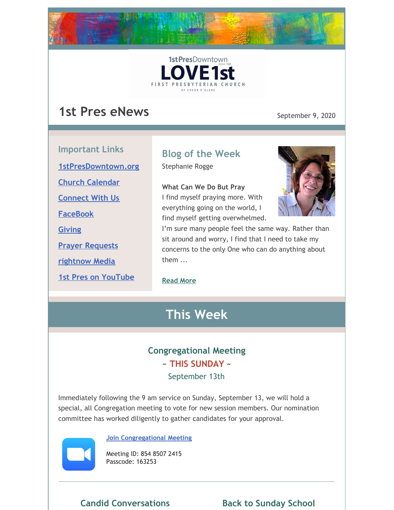



# **1st Pres eNews** September 9, 2020

**Important Links**

**[1stPresDowntown.org](http://www.1stpresdowntown.org/)**

**Church [Calendar](http://www.1stpresdowntown.org/calendar/)**

**[Connect](https://www.1stpresdowntown.org/connect-with-us.html) With Us**

**[FaceBook](https://www.facebook.com/cdadowntownchurch/)**

**[Giving](https://www.eservicepayments.com/cgi-bin/Vanco_ver3.vps?appver3=Fi1giPL8kwX_Oe1AO50jRhFtjI3jPush-TiV_cWeMqos4NSQukCYDzKLUtTTUlsf2EvVVAEjqawDomKT1pbouWbIw4yEvEZZftNOfs1-eIM%3D&ver=3)**

**Prayer [Requests](https://www.1stpresdowntown.org/prayer-request.html)**

**[rightnow](https://accounts.rightnowmedia.org/Account/Invite/FirstPresDowntown?returnUrl=https://www.rightnowmedia.org/Account/Media/InviteReturn) Media**

**1st Pres on [YouTube](https://www.youtube.com/channel/UCCfruZriuZfS2hVar79nXbQ)**

# **Blog of the Week**

Stephanie Rogge

**What Can We Do But Pray** I find myself praying more. With everything going on the world, I find myself getting overwhelmed.



I'm sure many people feel the same way. Rather than sit around and worry, I find that I need to take my concerns to the only One who can do anything about them ...

### **[Read](https://www.1stpresdowntown.org/blog/what-can-we-do-but-pray) More**

# **This Week**

# **Congregational Meeting**

### **~ THIS SUNDAY ~**

September 13th

Immediately following the 9 am service on Sunday, September 13, we will hold a special, all Congregation meeting to vote for new session members. Our nomination committee has worked diligently to gather candidates for your approval.



#### **Join [Congregational](https://us02web.zoom.us/j/85485072415?pwd=WHg5SXExVGY3UGM0M3g0eGxZSXd5UT09) [Meeting](https://us02web.zoom.us/j/85485072415?pwd=WHg5SXExVGY3UGM0M3g0eGxZSXd5UT09)**

Meeting ID: 854 8507 2415 Passcode: 163253

**Candid Conversations Back to Sunday School**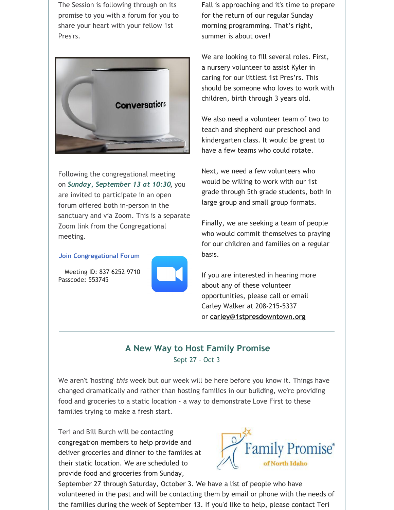The Session is following through on its promise to you with a forum for you to share your heart with your fellow 1st Pres'rs.



Following the congregational meeting on *Sunday, September 13 at 10:30,* you are invited to participate in an open forum offered both in-person in the sanctuary and via Zoom. This is a separate Zoom link from the Congregational meeting.

#### **Join [Congregational](https://us02web.zoom.us/j/83762529710?pwd=cEpUZU9xMkFrRXplSGloMnZYalpzQT09) Forum**

Meeting ID: 837 6252 9710 Passcode: 553745



Fall is approaching and it's time to prepare for the return of our regular Sunday morning programming. That's right, summer is about over!

We are looking to fill several roles. First, a nursery volunteer to assist Kyler in caring for our littlest 1st Pres'rs. This should be someone who loves to work with children, birth through 3 years old.

We also need a volunteer team of two to teach and shepherd our preschool and kindergarten class. It would be great to have a few teams who could rotate.

Next, we need a few volunteers who would be willing to work with our 1st grade through 5th grade students, both in large group and small group formats.

Finally, we are seeking a team of people who would commit themselves to praying for our children and families on a regular basis.

If you are interested in hearing more about any of these volunteer opportunities, please call or email Carley Walker at 208-215-5337 or **[carley@1stpresdowntown.org](mailto:carley@1stpresdowntown.org)**

### **A New Way to Host Family Promise** Sept 27 - Oct 3

We aren't 'hosting' *this* week but our week will be here before you know it. Things have changed dramatically and rather than hosting families in our building, we're providing food and groceries to a static location - a way to demonstrate Love First to these families trying to make a fresh start.

Teri and Bill Burch will be contacting congregation members to help provide and deliver groceries and dinner to the families at their static location. We are scheduled to provide food and groceries from Sunday,



September 27 through Saturday, October 3. We have a list of people who have volunteered in the past and will be contacting them by email or phone with the needs of the families during the week of September 13. If you'd like to help, please contact Teri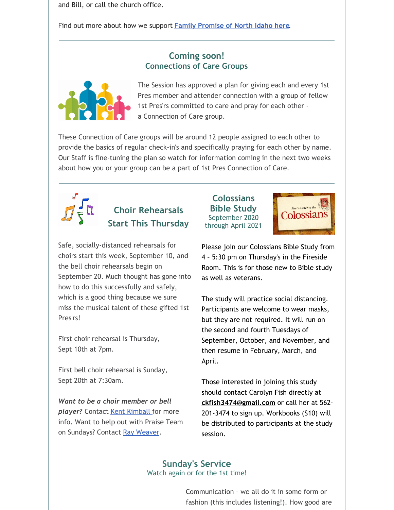and Bill, or call the church office.

Find out more about how we support **Family [Promise](https://www.1stpresdowntown.org/family-promise.html) of North Idaho here**.

### **Coming soon! Connections of Care Groups**



The Session has approved a plan for giving each and every 1st Pres member and attender connection with a group of fellow 1st Pres'rs committed to care and pray for each other a Connection of Care group.

These Connection of Care groups will be around 12 people assigned to each other to provide the basics of regular check-in's and specifically praying for each other by name. Our Staff is fine-tuning the plan so watch for information coming in the next two weeks about how you or your group can be a part of 1st Pres Connection of Care.



# **Choir Rehearsals Start This Thursday**

Safe, socially-distanced rehearsals for choirs start this week, September 10, and the bell choir rehearsals begin on September 20. Much thought has gone into how to do this successfully and safely, which is a good thing because we sure miss the musical talent of these gifted 1st Pres'rs!

First choir rehearsal is Thursday, Sept 10th at 7pm.

First bell choir rehearsal is Sunday, Sept 20th at 7:30am.

*Want to be a choir member or bell player?* Contact Kent [Kimball](mailto:kent1stpres@gmail.com) for more info. Want to help out with Praise Team on Sundays? Contact Ray [Weaver](mailto:rayweaver102@gmail.com).

#### **Colossians Bible Study** September 2020 through April 2021



Please join our Colossians Bible Study from 4 – 5:30 pm on Thursday's in the Fireside Room. This is for those new to Bible study as well as veterans.

The study will practice social distancing. Participants are welcome to wear masks, but they are not required. It will run on the second and fourth Tuesdays of September, October, and November, and then resume in February, March, and April.

Those interested in joining this study should contact Carolyn Fish directly at **[ckfish3474@gmail.com](mailto:ckfish3474@gmail.com)** or call her at 562- 201-3474 to sign up. Workbooks (\$10) will be distributed to participants at the study session.

#### **Sunday's Service** Watch again or for the 1st time!

Communication - we all do it in some form or fashion (this includes listening!). How good are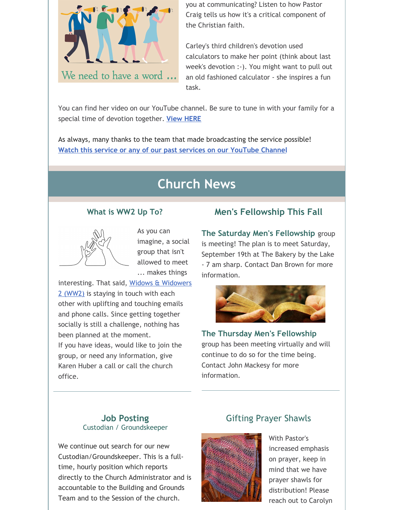

you at communicating? Listen to how Pastor Craig tells us how it's a critical component of the Christian faith.

Carley's third children's devotion used calculators to make her point (think about last week's devotion :-). You might want to pull out an old fashioned calculator - she inspires a fun task.

You can find her video on our YouTube channel. Be sure to tune in with your family for a special time of devotion together. **View [HERE](https://www.youtube.com/watch?v=E6SuVpuhFik&list=PLb4dO7t21BUBCtUYXZxdwR1jb50VXC6zv&index=2&t=0s)**

As always, many thanks to the team that made broadcasting the service possible! **Watch this service or any of our past services on our [YouTube](http://r20.rs6.net/tn.jsp?f=001TAEhPUeQXKS9PqOcukkRsNWUgGUBHZ7_nsdteClYMruoiLz1t14TsRr7UTt-UexyP7z8jFaaIPKIpT969G_ZUIkYi5mYoaY3H9bWFO_7npHXgu-wj68OzdnwykJslgohuottq9rPNR3w65MF7RkVXiqP9csz0dJjjE9juxHUxnD7AALW2Znqj4jNvmwW1hgb&c=xj6uxv4Ure-jLmebrsiWHqZgofQxk1jiFOFxtq_GIS985IIRxfa2wg==&ch=yLb4idgMcf26VkL_Lc86HYFK_5hMVavweuM2KPPMNNX6Iob9yt8sLA==) Channel**

# **Church News**

#### **What is WW2 Up To?**



As you can imagine, a social group that isn't allowed to meet ... makes things

[interesting.](https://www.1stpresdowntown.org/ww2-widows--widowers-2.html) That said, Widows & Widowers 2 (WW2) is staying in touch with each other with uplifting and touching emails and phone calls. Since getting together socially is still a challenge, nothing has been planned at the moment. If you have ideas, would like to join the group, or need any information, give Karen Huber a call or call the church office.

# **Men's Fellowship This Fall**

**The Saturday Men's Fellowship** group is meeting! The plan is to meet Saturday, September 19th at The Bakery by the Lake - 7 am sharp. Contact Dan Brown for more information.



**The Thursday Men's Fellowship** group has been meeting virtually and will continue to do so for the time being. Contact John Mackesy for more information.

#### **Job Posting** Custodian / Groundskeeper

We continue out search for our new Custodian/Groundskeeper. This is a fulltime, hourly position which reports directly to the Church Administrator and is accountable to the Building and Grounds Team and to the Session of the church.

## Gifting Prayer Shawls



With Pastor's increased emphasis on prayer, keep in mind that we have prayer shawls for distribution! Please reach out to Carolyn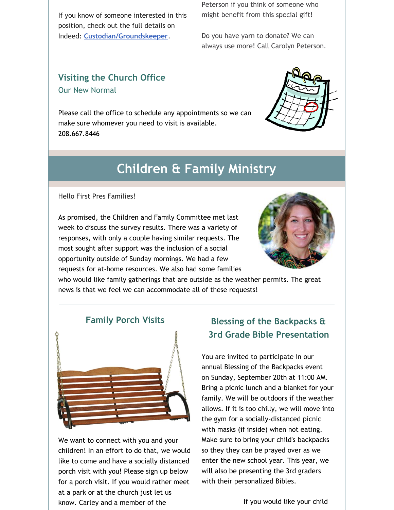If you know of someone interested in this position, check out the full details on Indeed: **[Custodian/Groundskeeper](https://www.indeed.com/job/custodiangroundskeeper-1713db722b958251)**.

Peterson if you think of someone who might benefit from this special gift!

Do you have yarn to donate? We can always use more! Call Carolyn Peterson.

### **Visiting the Church Office** Our New Normal

Please call the office to schedule any appointments so we can make sure whomever you need to visit is available. 208.667.8446



# **Children & Family Ministry**

Hello First Pres Families!

As promised, the Children and Family Committee met last week to discuss the survey results. There was a variety of responses, with only a couple having similar requests. The most sought after support was the inclusion of a social opportunity outside of Sunday mornings. We had a few requests for at-home resources. We also had some families



who would like family gatherings that are outside as the weather permits. The great news is that we feel we can accommodate all of these requests!



We want to connect with you and your children! In an effort to do that, we would like to come and have a socially distanced porch visit with you! Please sign up below for a porch visit. If you would rather meet at a park or at the church just let us know. Carley and a member of the

# **Blessing of the Backpacks & 3rd Grade Bible Presentation**

You are invited to participate in our annual Blessing of the Backpacks event on Sunday, September 20th at 11:00 AM. Bring a picnic lunch and a blanket for your family. We will be outdoors if the weather allows. If it is too chilly, we will move into the gym for a socially-distanced picnic with masks (if inside) when not eating. Make sure to bring your child's backpacks so they they can be prayed over as we enter the new school year. This year, we will also be presenting the 3rd graders with their personalized Bibles.

If you would like your child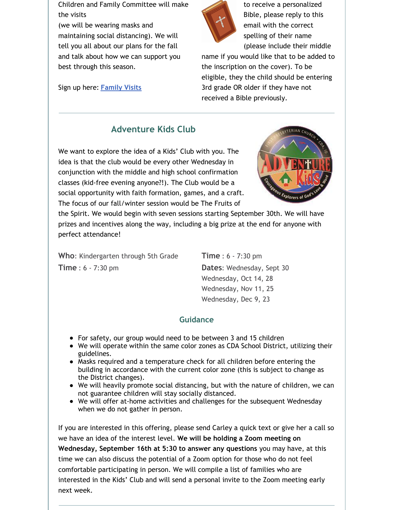Children and Family Committee will make the visits

(we will be wearing masks and maintaining social distancing). We will tell you all about our plans for the fall and talk about how we can support you best through this season.

Sign up here: **[Family](https://docs.google.com/spreadsheets/d/1yVwr4H18eS9mgD8KfFjQfHk0QFMz4n1o0qaoJTMXUI4/edit?usp=sharing) Visits**



to receive a personalized Bible, please reply to this email with the correct spelling of their name (please include their middle

name if you would like that to be added to the inscription on the cover). To be eligible, they the child should be entering 3rd grade OR older if they have not received a Bible previously.

# **Adventure Kids Club**

We want to explore the idea of a Kids' Club with you. The idea is that the club would be every other Wednesday in conjunction with the middle and high school confirmation classes (kid-free evening anyone?!). The Club would be a social opportunity with faith formation, games, and a craft. The focus of our fall/winter session would be The Fruits of



the Spirit. We would begin with seven sessions starting September 30th. We will have prizes and incentives along the way, including a big prize at the end for anyone with perfect attendance!

**Who**: Kindergarten through 5th Grade **Time** : 6 - 7:30 pm

**Time** : 6 - 7:30 pm **Dates**: Wednesday, Sept 30 Wednesday, Oct 14, 28 Wednesday, Nov 11, 25 Wednesday, Dec 9, 23

### **Guidance**

- For safety, our group would need to be between 3 and 15 children
- We will operate within the same color zones as CDA School District, utilizing their guidelines.
- Masks required and a temperature check for all children before entering the building in accordance with the current color zone (this is subject to change as the District changes).
- We will heavily promote social distancing, but with the nature of children, we can not guarantee children will stay socially distanced.
- We will offer at-home activities and challenges for the subsequent Wednesday when we do not gather in person.

If you are interested in this offering, please send Carley a quick text or give her a call so we have an idea of the interest level. **We will be holding a Zoom meeting on Wednesday, September 16th at 5:30 to answer any questions** you may have, at this time we can also discuss the potential of a Zoom option for those who do not feel comfortable participating in person. We will compile a list of families who are interested in the Kids' Club and will send a personal invite to the Zoom meeting early next week.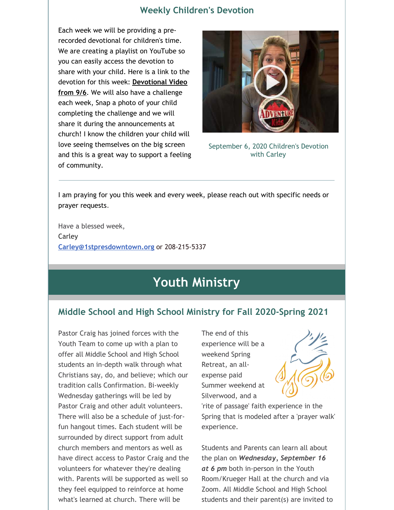### **Weekly Children's Devotion**

Each week we will be providing a prerecorded devotional for children's time. We are creating a playlist on YouTube so you can easily access the devotion to share with your child. Here is a link to the devotion for this week: **[Devotional](https://www.youtube.com/watch?v=E6SuVpuhFik) Video from 9/6**. We will also have a challenge each week, Snap a photo of your child completing the challenge and we will share it during the announcements at church! I know the children your child will love seeing themselves on the big screen and this is a great way to support a feeling of community.



September 6, 2020 Children's Devotion with Carley

I am praying for you this week and every week, please reach out with specific needs or prayer requests.

Have a blessed week, Carley **[Carley@1stpresdowntown.org](mailto:Carley@1stpresdowntown.org)** or 208-215-5337

# **Youth Ministry**

## **Middle School and High School Ministry for Fall 2020-Spring 2021**

Pastor Craig has joined forces with the Youth Team to come up with a plan to offer all Middle School and High School students an in-depth walk through what Christians say, do, and believe; which our tradition calls Confirmation. Bi-weekly Wednesday gatherings will be led by Pastor Craig and other adult volunteers. There will also be a schedule of just-forfun hangout times. Each student will be surrounded by direct support from adult church members and mentors as well as have direct access to Pastor Craig and the volunteers for whatever they're dealing with. Parents will be supported as well so they feel equipped to reinforce at home what's learned at church. There will be

The end of this experience will be a weekend Spring Retreat, an allexpense paid Summer weekend at Silverwood, and a



Students and Parents can learn all about the plan on *Wednesday, September 16 at 6 pm* both in-person in the Youth Room/Krueger Hall at the church and via Zoom. All Middle School and High School students and their parent(s) are invited to